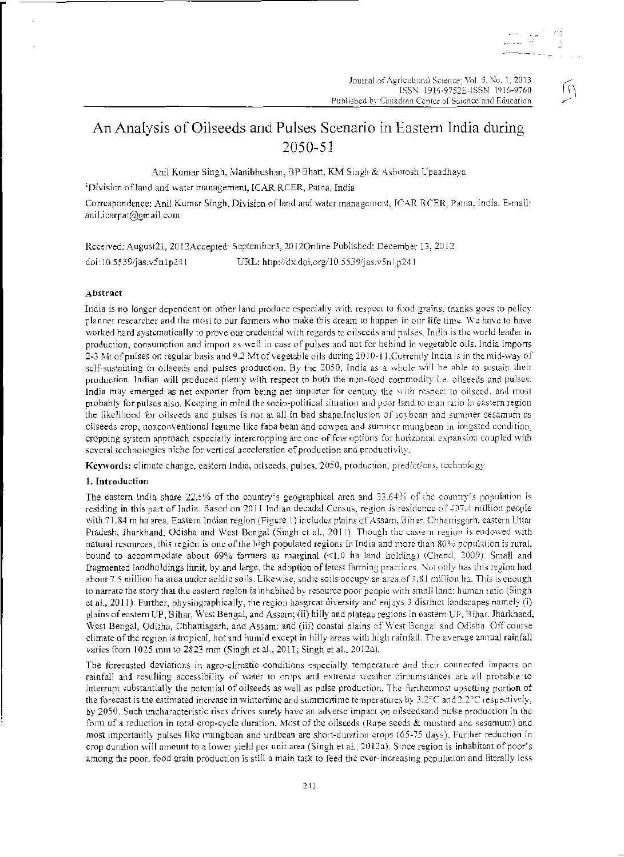*/*  t i \ / '

# An Analysis of Oilseeds and Pulses Scenario in Eastern India during 2050-51

Anil Kumar Singh, Manibhushan, BP Bhatt, KM Singh & Ashutosh Upaadhaya

:Division of land and \-Vatcr management, ICA\_R RCER, Patna. India

Correspondence: Anil Kumar Singh, Division of land and water management, ICAR RCER, Patna, India. E-mail: anil.icarpat@gmail.com

Received: August21, 2012Accepted: September3, 2012Online Published: December 13, 2012 doi: l 0.5539/jas.v5nl p241 **III** URL: http://dx.doi.org/10.5539/jas.v5nl p241

### **\_,\bstract**

India is no longer dependent on other land produce especially with respect to food grains, thanks goes to policy planner researcher and the most to our farmers who make this dream to happen in our life time. We have to have worked hard systematically to prove our credential with regards to oilseeds and pulses. India is the world leader in production, consumption and import as well in case of pulses and not for hehind in vegetable oils. India imports 2-3 Mt of pulses on regular basis and 9.2 Mt of vegetable oils during 2010-11.Currently India is in the mid-way of self-sustaining in oilseeds and pulses production. By the 2050, India as a whole will be able to sustain their production. Indian will produced plenty with respect to both the non-food commodity i.e. oilseeds and pulses. India may emerged as net exporter from being net importer for century the with respect to oilseed, and most probably for pulses also. Keeping in mind the socio-political situation and poor land to man ratio in eastern region the likelihood for oilseeds and pulses is not at all in bad shape.Inclusion of soybean and summer sesamum as oilseeds crop, nonconventional legume like faba bean and cowpea and summer mungbean in irrigated condition, cropping system approach especially intercropping are one of few options for horizontal expansion coupled with several technologies niche for vertical acceleration of production and productivity.

Keywords: climate change, eastern India, oilseeds, pulses, 2050, production, predictions, technoiogy

#### **1. Introduction**

The eastern India share 22.5% of the country's geographical area and 33.64% of the country's population is residing in this part of India. Based on 2011 Indian decadal Census, region is residence of 407.4 million people with 71.84 m ha area. Eastern Indian region (Figure 1) includes plains of Assam. Bihar, Chhartisgarh, eastern Uttar Pradesh, Jharkhand. Odisha and West Bengal (Singh et al., 2011). Though the castern region is endowed with natural resources, this region is one of the high populated regions in India and more than 80% population is rural, bound to accommodate about 69% farmers as marginal (<1.0 ha land holding) (Chand, 2009). Small and fragmented landholdings limit, by and large, the adoption of latest farming practices. Not only has this region had about 7.5 million ha area under acidic soils. Likewise, sodic soils occupy an area of 3.81 million ha. This is enough to narrate the story that the eastern region is inhabited by resource poor people with small land: human ratio (Singh et al., 2011). Further, physiographically, the region hasgreat diversity and enjoys 3 distinct landscapes namely (i) plains of eastern UP, Bihar, West Bengal, and Assam; (ii) hilly and plateau regions in eastern UP. Bihar. Jharkhand, West Bengal, Odisha, Chhaitisgarh, and Assam; and (iii) coastal plains of West Bengai and Odisha. Off course climate of the region is tropical, hot and humid except in hilly areas with high rainfall. The average annual rainfall varies from 1025 mm to 2823 mm (Singh et al., 2011; Singh et al., 2012a).

The forecasted deviations in agro-climatic conditions especially temperature and their connected impacts on rainfall and resulting accessibility of water to crops and extreme weather circumstances are all probable to interrupt substantially the potential of oilseeds as well as pulse production. The furthermost upsetting portion of the forecast is the estimated increase in wintertime and summertime temperatures by 3.2°C and 2.2°C respectively, by 2050. Such uncharacteristic rises driycs surely have an adverse impact on oilseedsand pulse production in the form of a reduction in total crop-cycle duration. Most of the oilseeds (Rape seeds & mustard and sesamum) and most importantly pulses like mungbean and urdbean are short-duration crops (65-75 days). Further reduction in crop duration will amount to a lower yield per unit area (Singh et al., 2012a). Since region is inhabitant of poor's among the poor, food grain production is still a main task to feed the ever-increasing population and literally less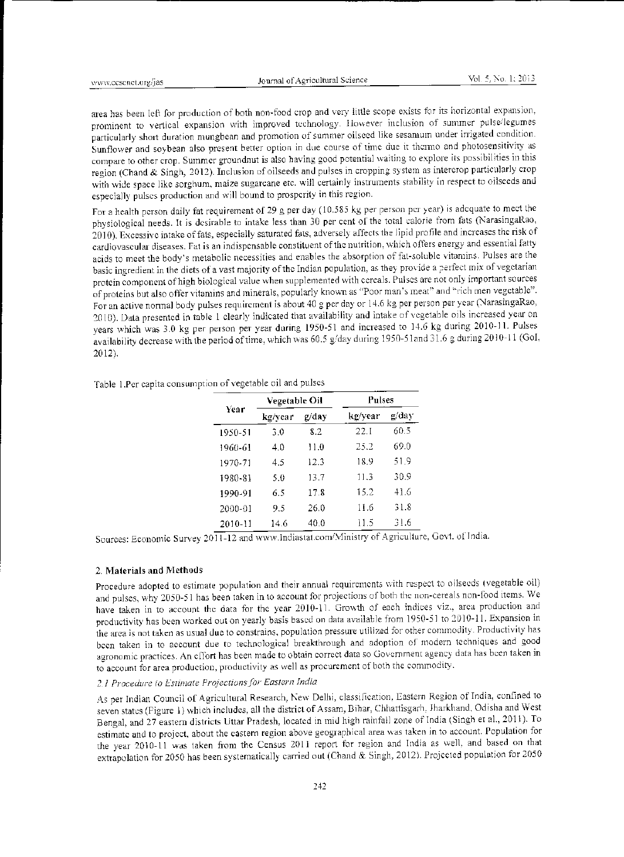area has been left for production of both non-food crop and very little scope exists for its horizontal expansion, prominent to vertical expansion with improved technology. However inclusion of summer pulse/legumes particularly short duration mungbean and promotion of summer oilseed like sesamum under irrigated condition. Sunflower and soybean also present better option in due course of time due it thermo and photosensitivity as compare to other crop. Summer groundnut is also having good potential waiting to explore its possibilities in this region (Chand & Singh, 2012). Inclusion of oilseeds and pulses in cropping system as intercrop particularly crop with wide space like sorghum, maize sugarcane etc. will certainly instruments stability in respect to oilseeds and especially pulses production and will bound to prosperity in this region.

For a health person daily fat requirement of 29 g per day (10.585 kg per person per year) is adequate to meet the physiological needs. It is desirable to intake less than 30 per cent of the total calorie from fats (Narasingalkao, 2010). Excessive intake of fats, especially saturated fats, adversely affects the lipid profile and increases the risk of cardiovascular diseases. Fat is an indispensable constituent of the nutrition, which offers energy and essential fatty acids to meet the body's metabolic necessities and enables the absorption of fat-soluble vitamins. Pulses are the basic ingredient in the diets of a vast majority of the Indian population, as they provide a perfect mix of vegetarian protein component of high biological value when supplemented with cereals. Pulses are not only important sources of proteins but also offer vitamins and minerals, popularly known as "Poor man's meat" and "rich men vegetable". For an active normal body pulses requirement is about 40 g per day or 14.6 kg per person per year (NarasingaRao, 2010). Data presented in table 1 clearly indicated that availability and intake of vegetable oils increased year on years which was 3.0 kg per person per year during 1950-51 and increased to 14.6 kg during 2010-11. Pulses availability decrease with the period of time, which was 60.5 g/day during 1950-51 and 31.6 g during 2010-11 (GoI, 2012).

|  | Table 1.Per capita consumption of vegetable oil and pulses |  |  |
|--|------------------------------------------------------------|--|--|
|  |                                                            |  |  |

|         | Vegetable Oil    |      | Pulses  |       |  |
|---------|------------------|------|---------|-------|--|
| Year    | g/day<br>kg/year |      | kg/year | g/day |  |
| 1950-51 | 3.0              | 8.2  | 22.I    | 60.5  |  |
| 1960-61 | 4.O              | 11.0 | 25.2    | 69.0  |  |
| 1970-71 | 45               | 123  | 18.9    | 51.9  |  |
| 1980-81 | 5.0              | 13.7 | 11.3    | 30.9  |  |
| 1990-91 | 6.5              | 17.8 | 15.2    | 41.6  |  |
| 2000-01 | 9.5              | 26.0 | 11.6    | 31.8  |  |
| 2010-11 | 14.6             | 40.0 | 11.5    | 31.6  |  |

Sources: Economic Survey 2011-12 and www.Indiastat.com/Ministry of Agriculture, Govt. of India.

## 2. Materials and Methods

Procedure adopted to estimate population and their annual requirements with respect to oilseeds (vegetable oil) and pulses, why 2050-51 has been taken in to account for projections of both the non-cereals non-food items. We have taken in to account the data for the year 2010-11. Growth of each indices viz., area production and productivity has been worked out on yearly basis based on data available from 1950-51 to 2010-11. Expansion in the area is not taken as usual due to constrains, population pressure utilized for other commodity. Productivity has been taken in to account due to technological breakthrough and adoption of modern techniques and good agronomic practices. An effort has been made to obtain correct data so Government agency data has been taken in to account for area production, productivity as well as procurement of both the commodity.

## 2.1 Procedure to Estimate Projections for Eastern India

As per Indian Council of Agricultural Research, New Delhi, classification, Eastern Region of India, confined to seven states (Figure 1) which includes, all the district of Assam, Bihar, Chhattisgarh, Jharkhand, Odisha and West Bengal, and 27 eastern districts Uttar Pradesh, located in mid high rainfall zone of India (Singh et al., 2011). To estimate and to project, about the castern region above geographical area was taken in to account. Population for the year 2010-11 was taken from the Census 2011 report for region and India as well, and based on that extrapolation for 2050 has been systematically carried out (Chand & Singh, 2012). Projected population for 2050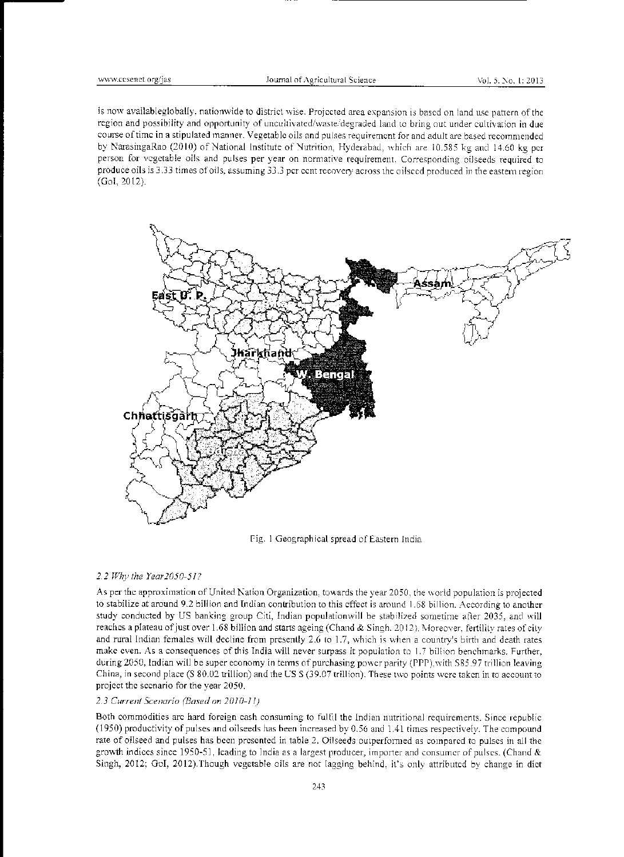is now availableglobally, nationwide to district wise. Projected area expansion is based on land use pattern of the region and possibility and opportunity of uncultivated/waste/degraded land to bring out under cultivation in due course of time in a stipulated manner. Vegetable oils and pulses requirement for and adult are based recommended by NarasingaRao (2010) of National Institute of Nutrition, Hyderabad, which are 10.585 kg and 14.60 kg per person for vegetable oils and pulses per year on normative requirement. Corresponding oilseeds required to produce oils is 3.33 times of oils, assuming 33.3 per cent recovery across the oilseed produced in the eastern region (Gol, 2012).



Fig. 1 Geographical spread of Eastern India

#### 2.2 Why the Year2050-51?

As per the approximation of United Nation Organization, towards the year 2050, the world population is projected to stabilize at around 9.2 billion and Indian contribution to this effect is around 1.68 billion. According to another study conducted by US banking group Citi, Indian populationwill be stabilized sometime after 2035, and will reaches a plateau of just over 1.68 billion and starts ageing (Chand & Singh, 2012). Moreover, fertility rates of city and rural Indian females will decline from presently 2.6 to 1.7, which is when a country's birth and death rates make even. As a consequences of this India will never surpass it population to 1.7 billion benchmarks. Further, during 2050, Indian will be super economy in terms of purchasing power parity (PPP), with S85.97 trillion leaving China, in second place (S 80.02 trillion) and the US S (39.07 trillion). These two points were taken in to account to project the scenario for the year 2050.

#### 2.3 Current Scenario (Based on 2010-11)

Both commodities are hard foreign cash consuming to fulfil the Indian nutritional requirements. Since republic (1950) productivity of pulses and oilseeds has been increased by 0.56 and 1.41 times respectively. The compound rate of oilseed and pulses has been presented in table 2. Oilseeds outperformed as compared to pulses in all the growth indices since 1950-51, leading to India as a largest producer, importer and consumer of pulses. (Chand & Singh, 2012; GoI, 2012). Though vegetable oils are not lagging behind, it's only attributed by change in dict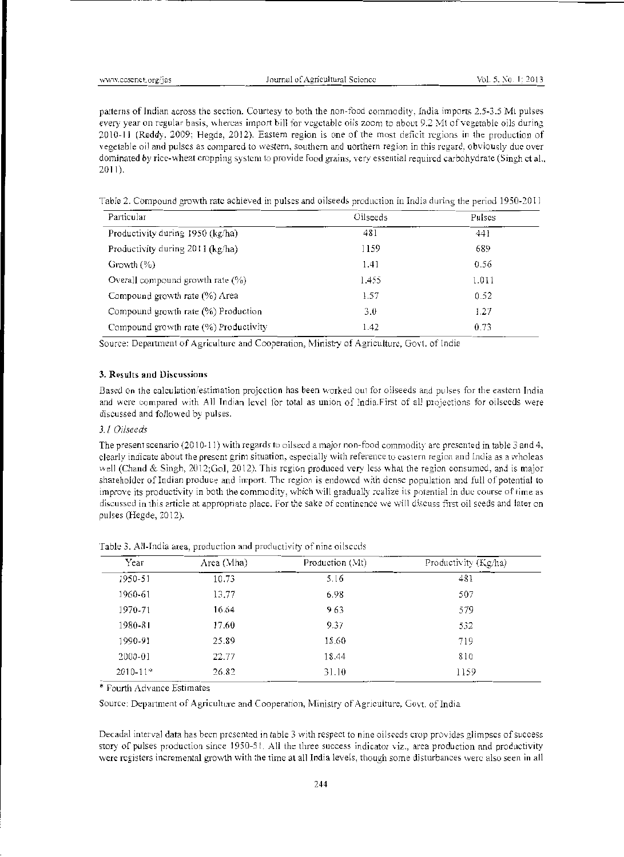patterns of Indian across the section. Courtesy to both the non-food commodity, India imports 2.5-3.5 Mt pulses every year on regular basis, whereas import bill for vegetable oils zoom to about 9.2 Mt of vegetable oils during 2010-11 (Reddy, 2009; Hegde, 2012). Eastern region is one of the most deficit regions in the production of vegetable oil and pulses as compared to western, southern and uorthern region in this regard, obviously due over dominated by rice-wheat cropping system to provide food grains, very essential required carbohydrate (Singh et al., 2011).

Table 2. Compound growth rate achieved in pulses and oilseeds production in India during the period 1950-2011

| Particular                            | Oilseeds | Pulses |
|---------------------------------------|----------|--------|
| Productivity during 1950 (kg/ha)      | 481      | 441    |
| Productivity during 2011 (kg/ha)      | 1159     | 689    |
| Growth $(\%)$                         | 1.41     | 0.56   |
| Overall compound growth rate $(\% )$  | 1.455    | 1.011  |
| Compound growth rate (%) Area         | 1.57     | 0.52   |
| Compound growth rate (%) Production   | 3.0      | 1.27   |
| Compound growth rate (%) Productivity | 1.42     | 0.73   |

Source: Department of Agriculture and Cooperation, Ministry of Agriculture, Govt. of India

## 3. Results and Discussions

Based on the calculation/estimation projection has been worked out for oilseeds and pulses for the eastern India and were compared with All Indian level for total as union of India. First of all projections for oilseeds were discussed and followed by pulses.

## 3.1 Oilseeds

The present scenario (2010-11) with regards to oilseed a major non-food commodity are presented in table 3 and 4, clearly indicate about the present grim situation, especially with reference to eastern region and India as a wholeas well (Chand & Singh, 2012;GoI, 2012). This region produced very less what the region consumed, and is major shareholder of Indian produce and import. The region is endowed with dense population and full of potential to improve its productivity in both the commodity, which will gradually realize its potential in due course of time as discussed in this article at appropriate place. For the sake of continence we will discuss first oil seeds and later on pulses (Hegde, 2012).

| Year         | Area (Mha) | Production (Mt) | Productivity (Kg/ha) |  |
|--------------|------------|-----------------|----------------------|--|
| 1950-51      | 10.73      | 5.16            | 481                  |  |
| 1960-61      | 13.77      | 6.98            | 507                  |  |
| 1970-71      | 16.64      | 9.63            | 579                  |  |
| 1980-81      | 17.60      | 9.37            | 532                  |  |
| 1990-91      | 25.89      | 18.60           | 719                  |  |
| 2000-01      | 22.77      | 18.44           | 810                  |  |
| $2010 - 11*$ | 26.82      | 31.10           | 1159                 |  |

Table 3. All-India area, production and productivity of nine oilseeds

\* Fourth Advance Estimates

Source: Department of Agriculture and Cooperation, Ministry of Agriculture, Govt. of India

Decadal interval data has been presented in table 3 with respect to nine oilseeds crop provides glimpses of success story of pulses production since 1950-51. All the three success indicator viz., area production and productivity were registers incremental growth with the time at all India levels, though some disturbances were also seen in all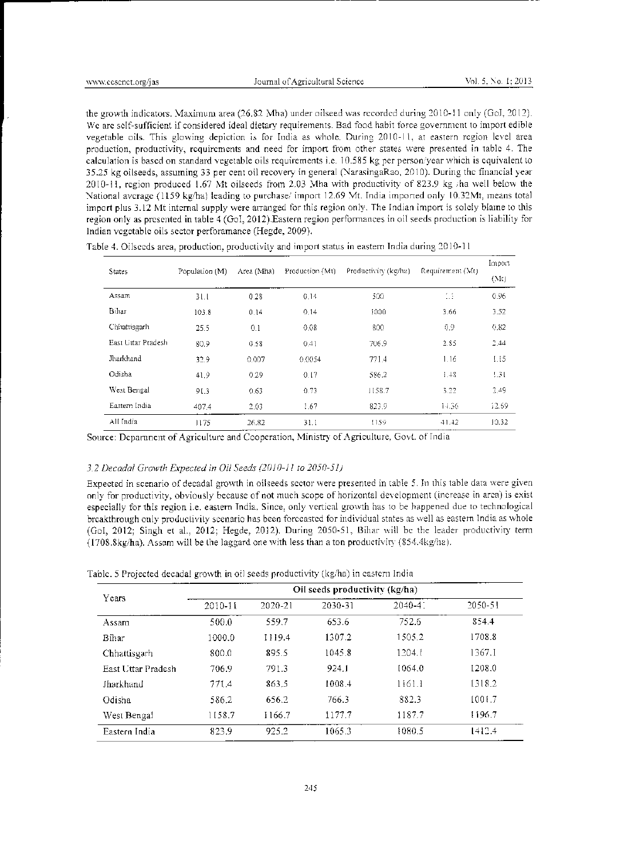the growth indicators. Maximum area  $(26.82 \text{ Mha})$  under oilseed was recorded during  $2010-11$  only (GoI, 2012). We are self-sufficient if considered ideal dietary requirements. Bad food habit force government to import edible vegetable oils. This glowing depiction is for India as whole. During 2010-11, at eastern region level area production, productivity, requirements and need for import from other states were presented in table 4. The calculation is based on standard vegetable oils requirements i.e. 10.585 kg per person/year which is equivalent to 35.25 kg oilseeds, assuming 33 per cent oil recovery in general (NarasingaRao, 2010). During the financial year 2010-11, region produced 1.67 Mt oilseeds from 2.03 Mha with productivity of 823.9 kg/ha well below the National average (1159 kg/ha) leading to purchase/ import 12.69 Mt. India imported only 10.32Mt, means total import plus 3.12 Mt internal supply were arranged for this region only. The Indian import is solely blame to this region only as presented in table 4 (GoI, 2012). Eastern region performances in oil seeds production is liability for Indian vegetable oils sector perforamance (Hegde, 2009).

|                    |                |            | Production (Mt) | Productivity (kg/h2) | Requirement (Mt) | Import |  |
|--------------------|----------------|------------|-----------------|----------------------|------------------|--------|--|
| <b>States</b>      | Population (M) | Area (Mha) |                 |                      |                  | (Mt)   |  |
| Assam              | 31.1           | 0.28       | 0.14            | 300.                 | Ωś               | 0.96   |  |
| Bihar              | 103.8          | 0.14       | 0,14            | 1000                 | 3.66             | 3.52   |  |
| Chhattisgarh       | 25.5           | 0.1        | 0.08            | 800                  | 0.9              | 0,82   |  |
| East Uttar Pradesh | 80.9           | 0.58       | 0.41            | 706.9                | 2.85             | 2.44   |  |
| Jharkhand          | 32.9           | 0.007      | 0.0054          | 771.4                | 1.16             | 1.15   |  |
| Odisha             | 41.9           | 0.29       | 0.17            | 586.2                | 1.48             | 5.31   |  |
| West Bengal        | 91.3           | 0.63       | 0.73            | 1158.7               | 3.22             | 2.49   |  |
| Eastern India      | 407.4          | 2.03       | 1.67            | 823.9                | 14.36            | 12.69  |  |
| All India          | 1175           | 26.82      | 31.1            | 1159                 | 41.42            | 10.32  |  |

Table 4. Oilseeds area, production, productivity and import status in eastern India during 2010-11

Source: Department of Agriculture and Cooperation, Ministry of Agriculture, Govt. of India

#### 3.2 Decadal Growth Expected in Oil Seeds (2010-11 to 2050-51)

Expected in scenario of decadal growth in oilseeds sector were presented in table 5. In this table data were given only for productivity, obviously because of not much scope of horizontal development (increase in area) is exist especially for this region i.e. eastern India. Since, only vertical growth has to be happened due to technological breakthrough only productivity scenario has been forecasted for individual states as well as eastern India as whole (GoI, 2012; Singh et al., 2012; Hegde, 2012). During 2050-51, Bihar will be the leader productivity term  $(1708.8 \text{kg/ha})$ . Assam will be the laggard one with less than a ton productivity  $(854.4 \text{kg/ha})$ .

#### Table. 5 Projected decadal growth in oil seeds productivity (kg/ha) in eastern India

|                    | Oil seeds productivity (kg/ha) |             |         |             |         |  |  |
|--------------------|--------------------------------|-------------|---------|-------------|---------|--|--|
| Years              | 2010-11                        | $2020 - 21$ | 2030-31 | $2040 - 41$ | 2050-51 |  |  |
| Assam              | 500.0                          | 559.7       | 653.6   | 752.6       | 854.4   |  |  |
| Bihar              | 1000.0                         | 1119.4      | 1307.2  | 1505.2      | 1708.8  |  |  |
| Chhattisgarh       | 800.0                          | 895.5       | 1045.8  | 1204. t     | 1367.I  |  |  |
| East Uttar Pradesh | 706.9                          | 791.3       | 924.1   | 1064.0      | 1208.0  |  |  |
| Jharkhand          | 771.4                          | 863.5       | 1008.4  | 1161.1      | 1318.2  |  |  |
| Odisha             | 586.2                          | 656.2       | 766.3   | 882.3       | 1001.7  |  |  |
| West Bengal        | 1158.7                         | 1166.7      | 1177.7  | 1187.7      | 1196.7  |  |  |
| Eastern India      | 823.9                          | 925.2       | 1065.3  | 1080.5      | 1412.4  |  |  |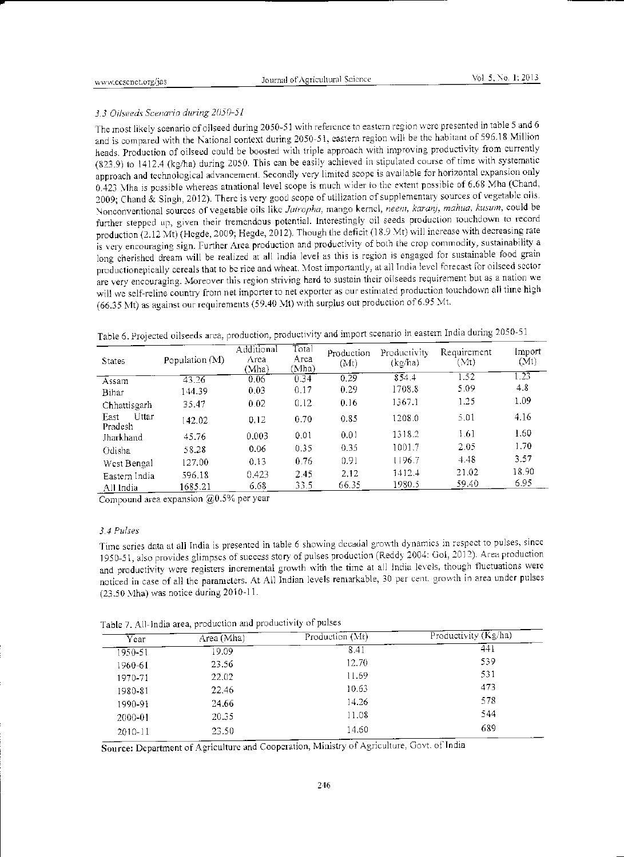#### *3 3 Oilseeds Scenario during 205()-51*

The most likely scenario of oilseed during 2050-51 with reference to eastern region were presented in table 5 and 6 and is compared with the National context during 2050-51, castern region will be the habitant of 596.18 Million heads. Production of oilseed could be boosted with triple approach with improving productivity from currently (823.9) to 1412.4 (kg/ha) during 2050. This can be easily achieved in stipulated course of time with systematic approach and technological advancement. Secondly very limited scope is available for horizontal expansion only 0.423 Mha is possible whereas atnational level scope is much wider to the extent possible of 6.68 Mha (Chand, 2009; Chand & Singh, 2012). There is very good scope of utilization of supplementary sources of vegetable oils. 'Nonconventional sources of vegetable oils like *Jatropha*, mango kernel, *neem, karanj, mahua, kusum*, could be further stepped up, given their tremendous potential. Interestingly oil seeds production touchdown to record production  $(2.12 \text{ }\mathrm{Mt})$  (Hegde, 2009; Hegde, 2012). Though the deficit (18.9 Mt) will increase with decreasing rate is very encouraging sign. Further Area production and productivity of both the crop commodity, sustainability a long cherished dream will be realized at all India level as this is region is engaged for sustainable food grain productionepically cereals that to be rice and wheat. Most importantly, at all India level forecast for oilseed sector are very encouraging. Moreover this region striving hard to sustain their oilseeds requirement but as a nation we will we self-reline country from net importer to net exporter as our estimated production touchdown all time high (66.35 Mt) as against our requirements (59.40 Mt) with surplus out production of 6.95 Mt.

| Table 6. Projected oilseeds area, production, productivity and import scenario in eastern India during 2050-5. |  |  |
|----------------------------------------------------------------------------------------------------------------|--|--|
|                                                                                                                |  |  |

| <b>States</b>            | Population $(M)$ | Additional<br>Area<br>(Mha) | Total<br>Агса<br>(Mha) | Production<br>(Mt) | Productivity<br>(kg/ha) | Requirement<br>(Mt) | Import<br>(Mt)    |
|--------------------------|------------------|-----------------------------|------------------------|--------------------|-------------------------|---------------------|-------------------|
| Assam                    | 43.26            | 0.06                        | 0.34                   | 0.29               | 854.4                   | 1.52                | $\overline{1.23}$ |
| Bihar                    | 144.39           | 0.03                        | 0.17                   | 0.29               | 1708.8                  | 5.09                | 4.8               |
| Chhattisgarh             | 35.47            | 0.02                        | 0.12                   | 0.16               | 1367.1                  | 1.25                | 1.09              |
| Uttar<br>East<br>Pradesh | 142.02.          | 0.12                        | 0.70                   | 0.85               | 1208.0                  | 5.01                | 4.16              |
| Jharkhand                | 45.76            | 0.003                       | 0.01                   | 0.01               | 1318.2                  | 1.61                | 1.60              |
| Odisha                   | 58.28            | 0.06                        | 0.35                   | 0.35               | 1001.7                  | 2.05                | 1.70              |
| West Bengal              | 127.00           | 0.13                        | 0.76                   | 0.91               | 1196.7                  | 4.48                | 3.57              |
| Eastern India            | 596.18           | 0.423                       | 2.45                   | 2.12               | 1412.4                  | 21.02               | 18.90             |
| All India                | 1685.21          | 6.68                        | 33.5                   | 66.35              | 1980.5                  | 59.40               | 6.95              |

Compound area expansion  $@0.5\%$  per year

#### *3.4 Pulses*

Time series data at all India is presented in table 6 showing decadal growth dynamics in respect to pulses, since 1950-51, also provides glimpses of success story of pulses production (Reddy 2004: Gol, 2012). Area production and productivity were registers incremental growth with the time at all India levels, though fluctuations were noticed in case of all the parameters. At All Indian levels remarkable, 30 per cent. growth in area under pulses  $(23.50 \text{ Mha})$  was notice during 2010-11.

Table 7. All-India area, production and productivity of pulses

|             | $\sim$ $\sim$ |                 | Productivity $(Kg/ha)$ |
|-------------|---------------|-----------------|------------------------|
| Year        | Area (Mha)    | Production (Mt) |                        |
| 1950-51     | 19.09         | 8.41            | 441                    |
| 1960-61     | 23.56         | 12.70           | 539                    |
| 1970-71     | 22.02         | 11.69           | 531                    |
| 1980-81     | 22.46         | 10.63           | 473                    |
| 1990-91     | 24.66         | 14.26           | 578                    |
| 2000-01     | 20.35         | 11.08           | 544                    |
| $2010 - 11$ | 23.50         | 14.60           | 689                    |
|             |               |                 |                        |

Source: Department of Agriculture and Cooperation, Ministry of Agriculture, Govt. of India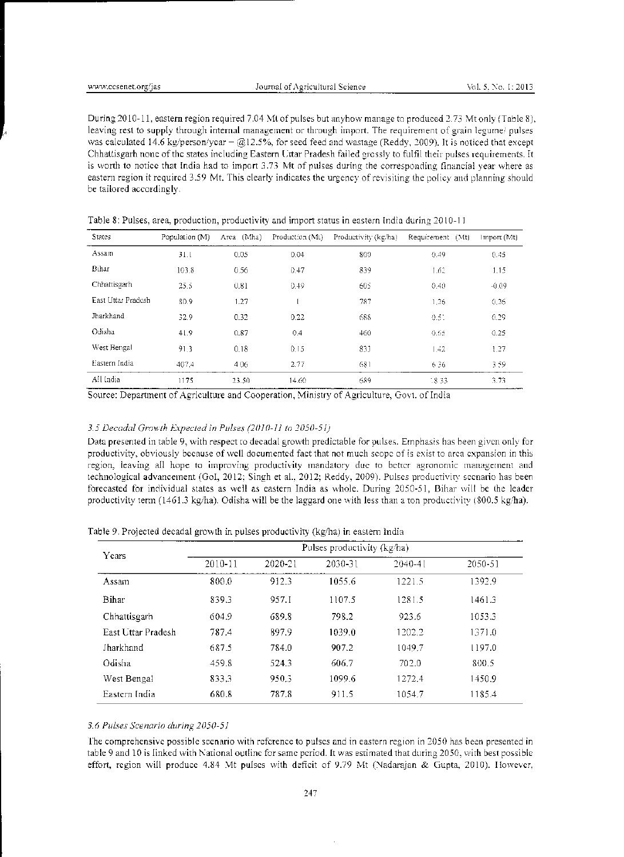During 2010-11, eastern region required 7.04 Mt of pulses but any how manage to produced 2.73 Mt only (Table 8), leaving rest to supply through internal management or through import. The requirement of grain legume/ pulses was calculated 14.6 kg/person/year -  $@12.5\%$ , for seed feed and wastage (Reddy, 2009). It is noticed that except Chhattisgarh none of the states including Eastern Uttar Pradesh failed grossly to fulfil their pulses requirements. It is worth to notice that India had to import 3.73 Mt of pulses during the corresponding financial year where as eastern region it required 3.59 Mt. This clearly indicates the urgency of revisiting the policy and planning should be tailored accordingly.

| <b>States</b>      | Population (M) | Area (Mha) | Production (Mt) | Productivity (kg/ha) | Requirement (Mt) | Import (Mt) |
|--------------------|----------------|------------|-----------------|----------------------|------------------|-------------|
| Assam              | 31.1           | 0.05       | 0.04            | 800                  | 0.49             | 0.45        |
| Bihar              | 103.8          | 0.56       | 0.47            | 839                  | 1.62             | 1.15        |
| Chhaltisgarh       | 25.5           | 0.81       | 0.49            | 605                  | 0.40             | $-0.09$     |
| East Uttar Pradesh | 80.9           | 1.27       |                 | 787                  | 1.26             | 0.26        |
| Jbarkhand          | 32.9           | 0.32       | 0.22            | 688                  | 0.51             | 0.29        |
| Odisha             | 41.9           | 0.87       | 0.4             | 460                  | 0.65             | 0.25        |
| West Bengal        | 91.3           | 0.18       | 0.15            | 833                  | 1.42             | 1.27        |
| Eastern India      | 407.4          | 406        | 2.77            | 681                  | 6.36             | 3.59        |
| All India          | 1175           | 23.50      | 14.60           | 689                  | 18.33            | 3.73        |

|  |  |  |  | Table 8: Pulses, area, production, productivity and import status in eastern India during 2010-11 |  |
|--|--|--|--|---------------------------------------------------------------------------------------------------|--|
|--|--|--|--|---------------------------------------------------------------------------------------------------|--|

Source: Department of Agriculture and Cooperation, Ministry of Agriculture, Goyt. of India

#### 3.5 Decadal Growth Expected in Pulses (2010-11 to 2050-51)

Data presented in table 9, with respect to decadal growth predictable for pulses. Emphasis has been given only for productivity, obviously because of well documented fact that not much scope of is exist to area expansion in this region, leaving all hope to improving productivity mandatory due to better agronomic management and technological advancement (Gol, 2012; Singh et al., 2012; Reddy, 2009). Pulses productivity scenario has been forecasted for individual states as well as eastern India as whole. During 2050-51, Bihar will be the leader productivity term (1461.3 kg/ha). Odisha will be the laggard one with less than a ton productivity (800.5 kg/ha).

|  |  |  | Table 9. Projected decadal growth in pulses productivity (kg/ha) in eastern India |
|--|--|--|-----------------------------------------------------------------------------------|
|  |  |  |                                                                                   |

| Years              | Pulses productivity (kg/ha) |         |         |             |         |  |  |  |
|--------------------|-----------------------------|---------|---------|-------------|---------|--|--|--|
|                    | $2010 - 11$                 | 2020-21 | 2030-31 | $2040 - 41$ | 2050-51 |  |  |  |
| Assam              | 800.0                       | 912.3   | 1055.6  | 1221.5      | 1392.9  |  |  |  |
| Bihar              | 839.3                       | 957.1   | 1107.5  | 1281.5      | 1461.3  |  |  |  |
| Chhattisgarh       | 604.9                       | 689.8   | 798.2   | 923.6       | 1053.3  |  |  |  |
| East Uttar Pradesh | 787.4                       | 897.9   | 1039.0  | 1202.2      | 1371.0  |  |  |  |
| Jharkhand          | 687.5                       | 784.0   | 907.2   | 1049.7      | 1197.0  |  |  |  |
| Odisha             | 459.8                       | 524.3   | 606.7   | 702.0       | 800.5   |  |  |  |
| West Bengal        | 833.3                       | 950.3   | 1099.6  | 1272.4      | 1450.9  |  |  |  |
| Eastern India      | 680.8                       | 787.8   | 911.5   | 1054.7      | 1185.4  |  |  |  |
|                    |                             |         |         |             |         |  |  |  |

#### *J\_(j Pulses Scenario during 2050-51*

The comprehensive possible scenario with reference to pulses and in eastern region in 2050 has been presented in table 9 and 10 is linked with National outline for same period. It was estimated that during 2050, with best possible effort, region will produce 4.84 Mt pulses with deficit of 9.79 Mt (Nadarajan & Gupta, 2010). However,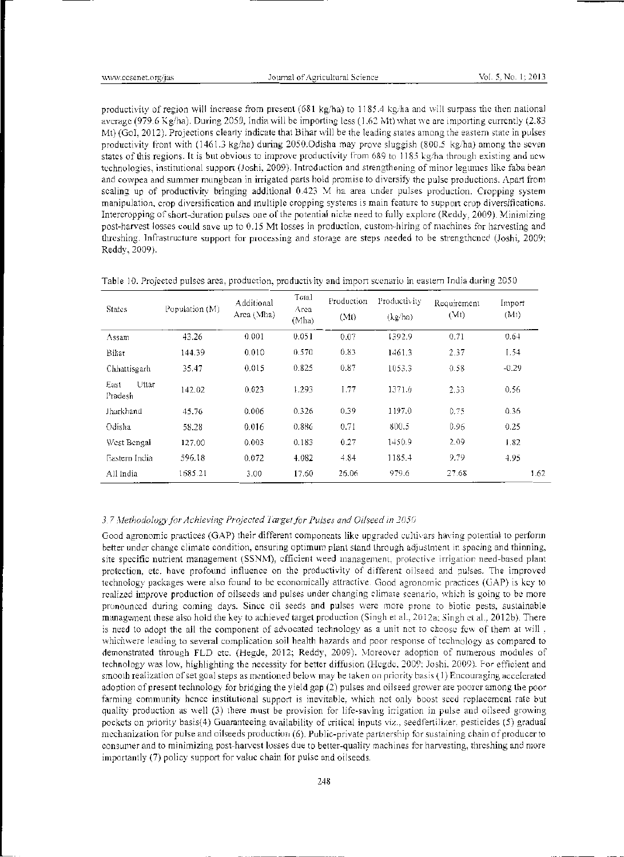productivity of region will increase from present (681 kg/ha) to 1185.4 kg/ha and will surpass the then national average (979.6 Kg/ha). During 2050, India will be importing less (1.62 Mt) what we are importing currently (2.83 Mt) (GoI, 2012). Projections clearly indicate that Bihar will be the leading states among the eastern state in pulses productivity front with (1461.3 kg/ha) during 2050.Odisha may prove sluggish (800.5 kg/ha) among the seven states of this regions. It is but obvious to improve productivity from 689 to 1185 kg/ha through existing and new technologies, institutional support (Joshi, 2009). Introduction and strengthening of minor legumes like faba bean and cowpea and summer mungbean in irrigated parts hold promise to diversify the pulse productions. Apart from scaling up of productivity bringing additional 0.423 M ha area under pulses production. Cropping system manipulation, crop diversification and multiple cropping systems is main feature to support crop diversifications. Intercropping of short-duration pulses one of the potential niche need to fully explore (Reddy, 2009). Minimizing post-harvest losses could save up to 0.15 Mt losses in production, custom-hiring of machines for harvesting and threshing. Infrastructure support for processing and storage are steps needed to be strengthened (Joshi, 2009; Reddy, 2009).

| <b>States</b>            | Population (M) | Additional<br>Area (Mha) | Total<br>Area<br>(Mha) | Production<br>(Mt) | Productivity<br>(kg/ha) | Requirement<br>(Mt) | Import<br>(Mt) |
|--------------------------|----------------|--------------------------|------------------------|--------------------|-------------------------|---------------------|----------------|
| Assam                    | 43.26          | 0.001                    | 0.051                  | 0.07               | 1392.9                  | 0.71                | 0.64           |
| Bihar                    | 144.39         | 0.010                    | 0.570                  | 0.83               | 1461.3                  | 2.37                | I.54           |
| Chhattisgarh             | 35.47          | 0.015                    | 0.825                  | 0.87               | 1053.3                  | 0.58                | $-0.29$        |
| Uttar<br>East<br>Pradesh | 142.02         | 0.023                    | 1.293                  | 1.77               | 1371.0                  | 2.33                | 0.56           |
| Jharkhand                | 45.76          | 0.006                    | 0.326                  | 0.39               | 1197.0                  | 0.75                | 0.36           |
| Odisha                   | 58.28          | 0.016                    | 0.886                  | 0.71               | 800.5                   | 0.96                | 0.25           |
| West Bengal              | 127.00         | 0.003                    | 0.183                  | 0.27               | 1450.9                  | 2.09                | 1.82           |
| Eastern India            | 596.18         | 0.072                    | 4.082                  | 4.84               | 1185.4                  | 9.79                | 4.95           |
| All India                | 1685.21        | 3.00                     | 17.60                  | 26.06              | 979.6                   | 27.68               | 1.62           |

Table 10. Projected pulses area, production, productivity and import scenario in eastern India during 2050

## 3.7 Methodology for Achieving Projected Target for Pulses and Oilseed in 2050

Good agronomic practices (GAP) their different components like upgraded cultivars having potential to perform better under change climate condition, ensuring optimum plant stand through adjustment in spacing and thinning, site specific nutrient management (SSNM), efficient weed management, protective irrigation need-based plant protection, etc. have profound influence on the productivity of different oilseed and pulses. The improved technology packages were also found to be economically attractive. Good agronomic practices (GAP) is key to realized improve production of oilseeds and pulses under changing climate scenario, which is going to be more pronounced during coming days. Since oil seeds and pulses were more prone to biotic pests, sustainable management these also hoid the key to achieved target production (Singh et al., 2012a; Singh et al., 2012b). There is need to adopt the all the component of advocated technology as a unit not to choose few of them at will. whichwere leading to several complication soil health hazards and poor response of technology as compared to demonstrated through FLD etc. (Hegde, 2012; Reddy, 2009). Moreover adoption of numerous modules of technology was low, highlighting the necessity for better diffusion (Hegde, 2009; Joshi, 2009). For efficient and smooth realization of set goal steps as mentioned below may be taken on priority basis (1) Encouraging accelerated adoption of present technology for bridging the yield gap  $(2)$  pulses and oilseed grower are poorcr among the poor farming community hence institutional support is inevitable, which not only boost seed replacement rate but quality production as well (3) there must be provision for life-saving irrigation in pulse and oilseed growing pockets on priority basis(4) Guaranteeing availability of critical inputs viz., seedfertilizer, pesticides (5) gradual mechanization for pulse and oilseeds production (6). Public-private partnership for sustaining chain of producer to consumer and to minimizing post-harvest losses due to better-quality machines for harvesting, threshing and more importantly (7) policy support for value chain for pulse and oilseeds.